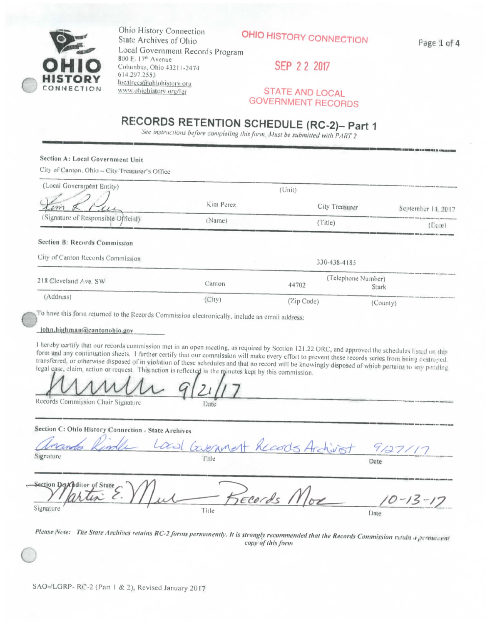

Ohio History Connection State Archives of Ohio Local Government Records Program 800 E. 17<sup>th</sup> Avenue Columbus, Ohio 43211-2474 614.297.2553 localrecs@ohiohistory.org www.ohiohistory.org/lgr

OHIO HISTORY CONNECTION

Page 1 of 4

 $-15 - 17$ 

Date

SEP 2 2 2017

**STATE AND LOCAL GOVERNMENT RECORDS** 

# RECORDS RETENTION SCHEDULE (RC-2)- Part 1

See instructions before completing this form. Must be submitted with PART 2

#### Section A: Local Government Unit

City of Canton, Ohio - City Treasurer's Office

| (Local Government Entity)           |           | (Unii)         |                             |                    |
|-------------------------------------|-----------|----------------|-----------------------------|--------------------|
| em                                  | Kim Perez | City Treasurer |                             | September 14, 2017 |
| (Signature of Responsible Official) | (Name)    | (Title)        |                             | $(D_6,e)$          |
| Section B: Records Commission       |           |                |                             |                    |
| City of Canton Records Commission   |           | 330-438-4185   |                             |                    |
| 218 Cleveland Ave. SW               | Canton    | 44702          | (Telephone Number)<br>Stark |                    |
| (Address)                           | (City)    | (Zip Code)     | (Coun(v))                   |                    |

To have this form returned to the Records Commission electronically, include an email address:

#### john.highman@cantonohio.gov

I hereby certify that our records commission met in an open meeting, as required by Section 121.22 ORC, and approved the schedules listed on this form and any continuation sheets. I further certify that our commission will make every effort to prevent these records series from being destroyed. transferred, or otherwise disposed of in violation of these schedules and that no record will be knowingly disposed of which pertains to any pending legal case, claim, action or request. This action is reflected in the minutes kept by this commission.

Date

Records Commission Chair Signature

#### Section C: Ohio History Connection - State Archives

| anando Rindle Local Covening + Records Archivist 9127/17 |        |      |
|----------------------------------------------------------|--------|------|
| Signature                                                | l'itle | Date |
| Section Det Culture of State $\bigcap$ //                |        |      |

Signature

Please Note: The State Archives retains RC-2 forms permanently. It is strongly recommended that the Records Commission retain a permanent copy of this form

- Records Mor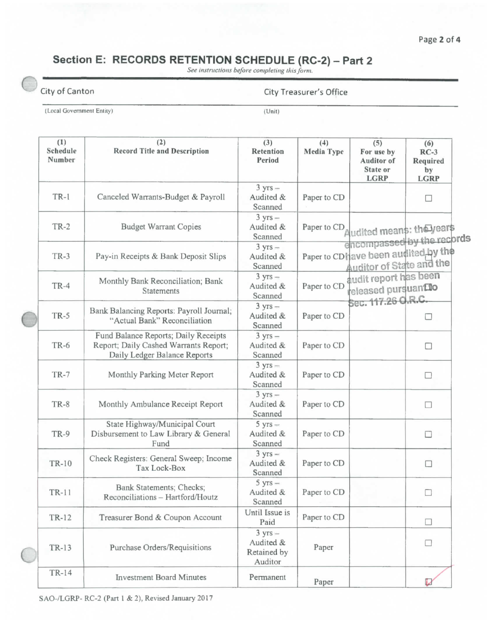#### **Page 2 of 4**

## Section E: RECORDS RETENTION SCHEDULE (RC-2) - Part 2

See instructions before completing this form.

| . Itv | ОТ |
|-------|----|

#### Canton Canton City Treasurer's Office

**(Local Government Enliiy) (Unit)** 

| (1)<br>Schedule<br>Number | (2)<br><b>Record Title and Description</b>                                                                    | (3)<br>Retention<br>Period                               | (4)<br>Media Type | (5)<br>For use by<br><b>Auditor</b> of<br>State or<br><b>LGRP</b>            | (6)<br>$RC-3$<br>Required<br>by<br><b>LGRP</b> |
|---------------------------|---------------------------------------------------------------------------------------------------------------|----------------------------------------------------------|-------------------|------------------------------------------------------------------------------|------------------------------------------------|
| $TR-1$                    | Canceled Warrants-Budget & Payroll                                                                            | $3 yrs -$<br>Audited &<br>Scanned                        | Paper to CD       |                                                                              | $\Box$                                         |
| <b>TR-2</b>               | <b>Budget Warrant Copies</b>                                                                                  | $3 yrs -$<br>Audited &<br>Scanned                        |                   | Paper to CD <sub>Audited</sub> means: theyears<br>encompassed by the records |                                                |
| $TR-3$                    | Pay-in Receipts & Bank Deposit Slips                                                                          | $3 yrs -$<br>Audited &<br>Scanned                        |                   | Paper to CD have been audited by the<br>Auditor of State and the             |                                                |
| $TR-4$                    | Monthly Bank Reconciliation; Bank<br>Statements                                                               | $3$ yrs $-$<br>Audited &<br>Scanned                      | Paper to CD       | audit report has been<br>released pursuanfilo<br>Sec. 117.26 O.R.C.          |                                                |
| <b>TR-5</b>               | Bank Balancing Reports: Payroll Journal;<br>"Actual Bank" Reconciliation                                      | $3 yrs -$<br>Audited &<br>Scanned                        | Paper to CD       |                                                                              | □                                              |
| <b>TR-6</b>               | Fund Balance Reports; Daily Receipts<br>Report; Daily Cashed Warrants Report;<br>Daily Ledger Balance Reports | $3 yrs -$<br>Audited &<br>Scanned                        | Paper to CD       |                                                                              | □                                              |
| <b>TR-7</b>               | Monthly Parking Meter Report                                                                                  | $3$ yrs $-$<br>Audited &<br>Scanned                      | Paper to CD       |                                                                              | □                                              |
| TR-8                      | Monthly Ambulance Receipt Report                                                                              | $3 yrs -$<br>Audited &<br>Scanned                        | Paper to CD       |                                                                              | □                                              |
| <b>TR-9</b>               | State Highway/Municipal Court<br>Disbursement to Law Library & General<br>Fund                                | $5 yrs -$<br>Audited &<br>Scanned                        | Paper to CD       |                                                                              | □                                              |
| <b>TR-10</b>              | Check Registers: General Sweep; Income<br>Tax Lock-Box                                                        | $3$ yrs $-$<br>Audited &<br>Scanned                      | Paper to CD       |                                                                              | $\Box$                                         |
| <b>TR-11</b>              | Bank Statements; Checks;<br>Reconciliations - Hartford/Houtz                                                  | $5 yrs -$<br>Audited &<br>Scanned                        | Paper to CD       |                                                                              | □                                              |
| TR-12                     | Treasurer Bond & Coupon Account                                                                               | Until Issue is<br>Paid                                   | Paper to CD       |                                                                              | $\Box$                                         |
| TR-13                     | Purchase Orders/Requisitions                                                                                  | $3 \text{ yrs} -$<br>Audited &<br>Retained by<br>Auditor | Paper             |                                                                              | п                                              |
| TR-14                     | <b>Investment Board Minutes</b>                                                                               | Permanent                                                | Paper             |                                                                              |                                                |

SAO-/LGRP- RC-2 (Part 1 & 2), Revised January 2017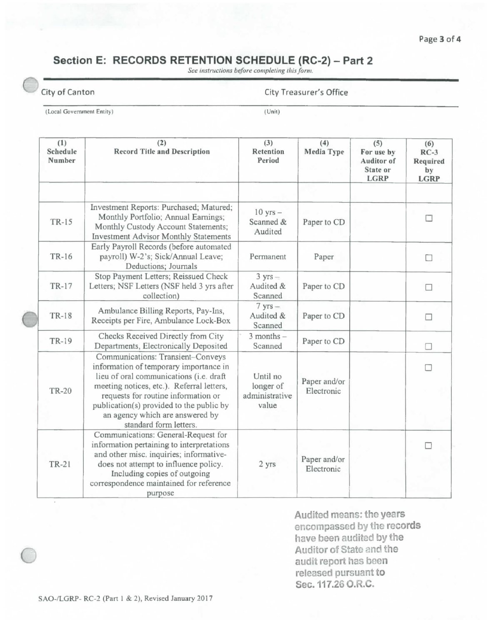### Section E: RECORDS RETENTION SCHEDULE (RC-2) - Part 2

See instructions before completing this form.

#### **City of Canton City Treasurer's Office**

**(Lucal Govemment Eniity) (Unit)** 

| (1)<br>Schedule<br>Number | (2)<br><b>Record Title and Description</b>                                                                                                                                                                                                                 | (3)<br>Retention<br>Period              | (4)<br>Media Type          | (5)<br>For use by<br>Auditor of<br>State or<br><b>LGRP</b> | (6)<br>$RC-3$<br>Required<br>by<br><b>LGRP</b> |
|---------------------------|------------------------------------------------------------------------------------------------------------------------------------------------------------------------------------------------------------------------------------------------------------|-----------------------------------------|----------------------------|------------------------------------------------------------|------------------------------------------------|
|                           | Investment Reports: Purchased; Matured;                                                                                                                                                                                                                    | $10$ yrs $-$                            |                            |                                                            |                                                |
| TR-15                     | Monthly Portfolio; Annual Earnings;<br>Monthly Custody Account Statements;<br><b>Investment Advisor Monthly Statements</b>                                                                                                                                 | Scanned &<br>Audited                    | Paper to CD                |                                                            | П                                              |
| TR-16                     | Early Payroll Records (before automated<br>payroll) W-2's; Sick/Annual Leave;<br>Deductions; Journals                                                                                                                                                      | Permanent                               | Paper                      |                                                            | □                                              |
| TR-17                     | Stop Payment Letters; Reissued Check<br>Letters; NSF Letters (NSF held 3 yrs after<br>collection)                                                                                                                                                          | $3 yrs -$<br>Audited &<br>Scanned       | Paper to CD                |                                                            |                                                |
| <b>TR-18</b>              | Ambulance Billing Reports, Pay-Ins,<br>Receipts per Fire, Ambulance Lock-Box                                                                                                                                                                               | $7$ yrs $-$<br>Audited &<br>Scanned     | Paper to CD                |                                                            |                                                |
| TR-19                     | Checks Received Directly from City<br>Departments, Electronically Deposited                                                                                                                                                                                | $3$ months $-$<br>Scanned               | Paper to CD                |                                                            |                                                |
| <b>TR-20</b>              | Communications: Transient-Conveys<br>information of temporary importance in<br>lieu of oral communications (i.e. draft<br>meeting notices, etc.). Referral letters,<br>requests for routine information or                                                 | Until no<br>longer of<br>administrative | Paper and/or<br>Electronic |                                                            |                                                |
|                           | publication(s) provided to the public by<br>an agency which are answered by<br>standard form letters.                                                                                                                                                      | value                                   |                            |                                                            |                                                |
| <b>TR-21</b>              | Communications: General-Request for<br>information pertaining to interpretations<br>and other misc. inquiries; informative-<br>does not attempt to influence policy.<br>Including copies of outgoing<br>correspondence maintained for reference<br>purpose | 2 yrs                                   | Paper and/or<br>Electronic |                                                            |                                                |

**Auditod means: the years encompassed by the records have been audited by the Auditor of State and the audit report has been released pursuant to Sec. 117.26 O.R.C.**